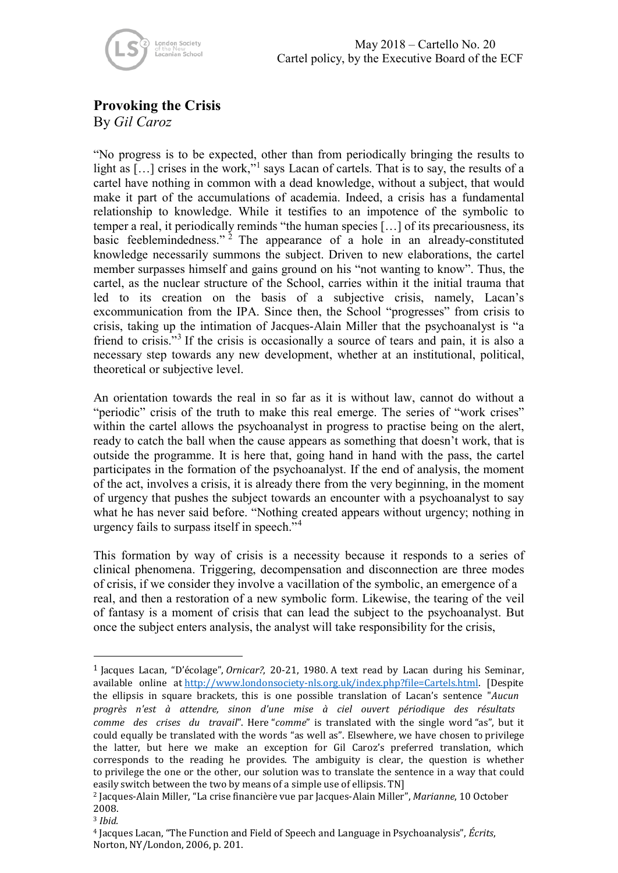

May 2018 – Cartello No. 20 Cartel policy, by the Executive Board of the ECF

## **Provoking the Crisis**

By *Gil Caroz*

"No progress is to be expected, other than from periodically bringing the results to light as [...] crises in the work,"<sup>[1](#page-0-0)</sup> says Lacan of cartels. That is to say, the results of a cartel have nothing in common with a dead knowledge, without a subject, that would make it part of the accumulations of academia. Indeed, a crisis has a fundamental relationship to knowledge. While it testifies to an impotence of the symbolic to temper a real, it periodically reminds "the human species […] of its precariousness, its basic feeblemindedness."<sup>[2](#page-0-1)</sup> The appearance of a hole in an already-constituted knowledge necessarily summons the subject. Driven to new elaborations, the cartel member surpasses himself and gains ground on his "not wanting to know". Thus, the cartel, as the nuclear structure of the School, carries within it the initial trauma that led to its creation on the basis of a subjective crisis, namely, Lacan's excommunication from the IPA. Since then, the School "progresses" from crisis to crisis, taking up the intimation of Jacques-Alain Miller that the psychoanalyst is "a friend to crisis."[3](#page-0-2) If the crisis is occasionally a source of tears and pain, it is also a necessary step towards any new development, whether at an institutional, political, theoretical or subjective level.

An orientation towards the real in so far as it is without law, cannot do without a "periodic" crisis of the truth to make this real emerge. The series of "work crises" within the cartel allows the psychoanalyst in progress to practise being on the alert, ready to catch the ball when the cause appears as something that doesn't work, that is outside the programme. It is here that, going hand in hand with the pass, the cartel participates in the formation of the psychoanalyst. If the end of analysis, the moment of the act, involves a crisis, it is already there from the very beginning, in the moment of urgency that pushes the subject towards an encounter with a psychoanalyst to say what he has never said before. "Nothing created appears without urgency; nothing in urgency fails to surpass itself in speech."[4](#page-0-3)

This formation by way of crisis is a necessity because it responds to a series of clinical phenomena. Triggering, decompensation and disconnection are three modes of crisis, if we consider they involve a vacillation of the symbolic, an emergence of a real, and then a restoration of a new symbolic form. Likewise, the tearing of the veil of fantasy is a moment of crisis that can lead the subject to the psychoanalyst. But once the subject enters analysis, the analyst will take responsibility for the crisis,

<span id="page-0-0"></span><sup>1</sup> Jacques Lacan, "D'écolage", *Ornicar?*, 20-21, 1980. A text read by Lacan during his Seminar, available online at [http://www.londonsociety-nls.org.uk/index.php?file=Cartels.html.](http://www.londonsociety-nls.org.uk/index.php?file=Cartels.html) [Despite the ellipsis in square brackets, this is one possible translation of Lacan's sentence "*Aucun progrès n'est à attendre, sinon d'une mise à ciel ouvert périodique des résultats comme des crises du travail*". Here "*comme*" is translated with the single word "as", but it could equally be translated with the words "as well as". Elsewhere, we have chosen to privilege the latter, but here we make an exception for Gil Caroz's preferred translation, which corresponds to the reading he provides. The ambiguity is clear, the question is whether to privilege the one or the other, our solution was to translate the sentence in a way that could easily switch between the two by means of a simple use of ellipsis. TN]

<span id="page-0-1"></span><sup>2</sup> Jacques-Alain Miller, "La crise financière vue par Jacques-Alain Miller", *Marianne*, 10 October 2008.

<span id="page-0-2"></span><sup>3</sup> *Ibid.*

<span id="page-0-3"></span><sup>4</sup> Jacques Lacan, "The Function and Field of Speech and Language in Psychoanalysis", *Écrits*, Norton, NY/London, 2006, p. 201.